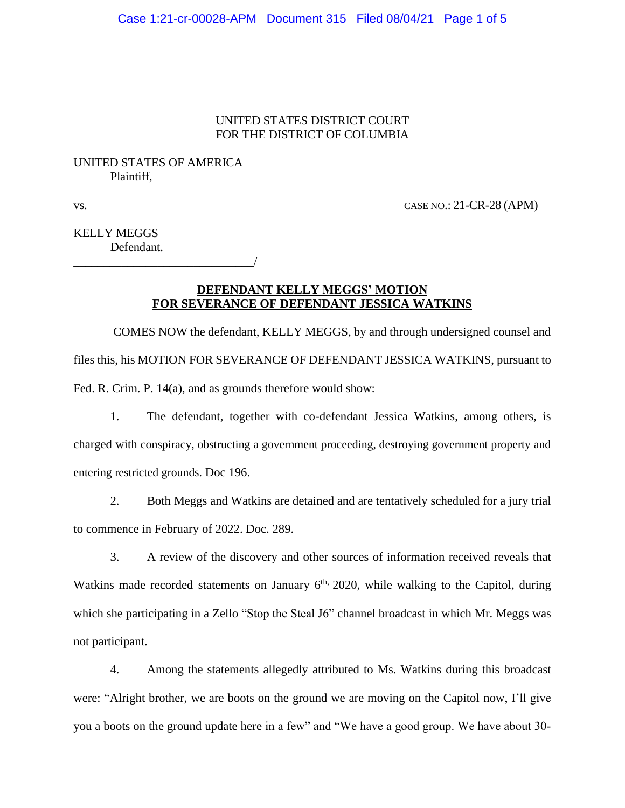## UNITED STATES DISTRICT COURT FOR THE DISTRICT OF COLUMBIA

# UNITED STATES OF AMERICA Plaintiff,

\_\_\_\_\_\_\_\_\_\_\_\_\_\_\_\_\_\_\_\_\_\_\_\_\_\_\_\_\_\_/

vs. CASE NO.: 21-CR-28 (APM)

KELLY MEGGS Defendant.

## **DEFENDANT KELLY MEGGS' MOTION FOR SEVERANCE OF DEFENDANT JESSICA WATKINS**

COMES NOW the defendant, KELLY MEGGS, by and through undersigned counsel and files this, his MOTION FOR SEVERANCE OF DEFENDANT JESSICA WATKINS, pursuant to Fed. R. Crim. P. 14(a), and as grounds therefore would show:

 1. The defendant, together with co-defendant Jessica Watkins, among others, is charged with conspiracy, obstructing a government proceeding, destroying government property and entering restricted grounds. Doc 196.

2. Both Meggs and Watkins are detained and are tentatively scheduled for a jury trial to commence in February of 2022. Doc. 289.

3. A review of the discovery and other sources of information received reveals that Watkins made recorded statements on January  $6<sup>th</sup>$ , 2020, while walking to the Capitol, during which she participating in a Zello "Stop the Steal J6" channel broadcast in which Mr. Meggs was not participant.

4. Among the statements allegedly attributed to Ms. Watkins during this broadcast were: "Alright brother, we are boots on the ground we are moving on the Capitol now, I'll give you a boots on the ground update here in a few" and "We have a good group. We have about 30-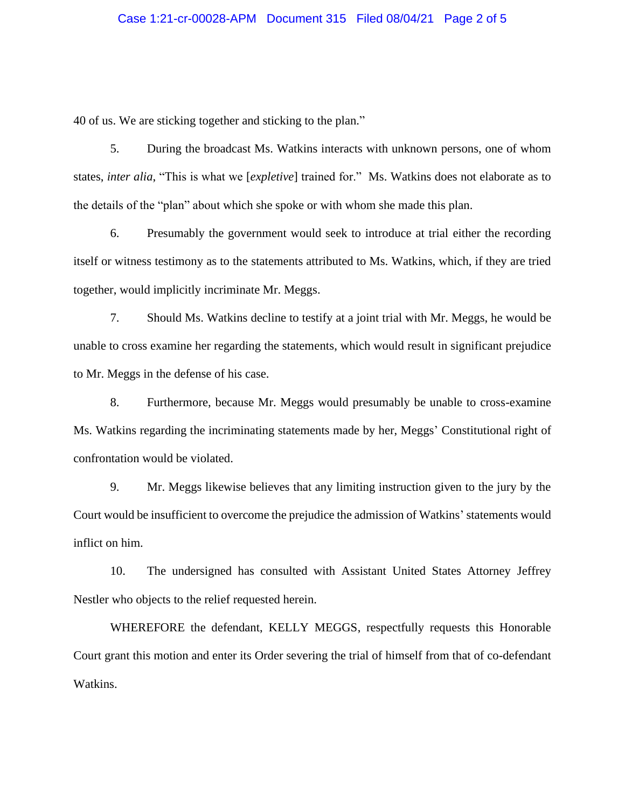### Case 1:21-cr-00028-APM Document 315 Filed 08/04/21 Page 2 of 5

40 of us. We are sticking together and sticking to the plan."

5. During the broadcast Ms. Watkins interacts with unknown persons, one of whom states, *inter alia*, "This is what we [*expletive*] trained for." Ms. Watkins does not elaborate as to the details of the "plan" about which she spoke or with whom she made this plan.

6. Presumably the government would seek to introduce at trial either the recording itself or witness testimony as to the statements attributed to Ms. Watkins, which, if they are tried together, would implicitly incriminate Mr. Meggs.

7. Should Ms. Watkins decline to testify at a joint trial with Mr. Meggs, he would be unable to cross examine her regarding the statements, which would result in significant prejudice to Mr. Meggs in the defense of his case.

 8. Furthermore, because Mr. Meggs would presumably be unable to cross-examine Ms. Watkins regarding the incriminating statements made by her, Meggs' Constitutional right of confrontation would be violated.

9. Mr. Meggs likewise believes that any limiting instruction given to the jury by the Court would be insufficient to overcome the prejudice the admission of Watkins' statements would inflict on him.

10. The undersigned has consulted with Assistant United States Attorney Jeffrey Nestler who objects to the relief requested herein.

WHEREFORE the defendant, KELLY MEGGS, respectfully requests this Honorable Court grant this motion and enter its Order severing the trial of himself from that of co-defendant Watkins.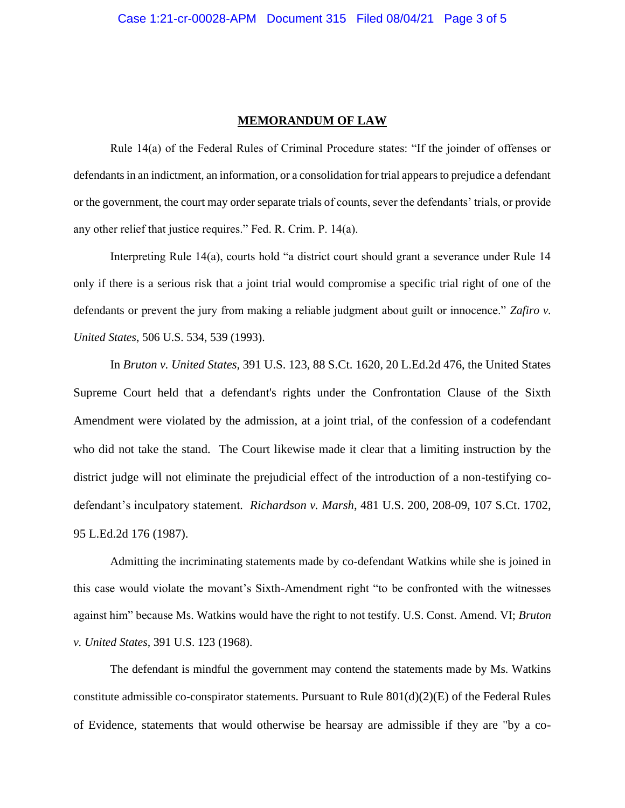#### **MEMORANDUM OF LAW**

Rule 14(a) of the Federal Rules of Criminal Procedure states: "If the joinder of offenses or defendants in an indictment, an information, or a consolidation for trial appears to prejudice a defendant or the government, the court may order separate trials of counts, sever the defendants' trials, or provide any other relief that justice requires." Fed. R. Crim. P. 14(a).

Interpreting Rule 14(a), courts hold "a district court should grant a severance under Rule 14 only if there is a serious risk that a joint trial would compromise a specific trial right of one of the defendants or prevent the jury from making a reliable judgment about guilt or innocence." *Zafiro v. United States*, 506 U.S. 534, 539 (1993).

In *Bruton v. United States,* 391 U.S. 123, 88 S.Ct. 1620, 20 L.Ed.2d 476, the United States Supreme Court held that a defendant's rights under the Confrontation Clause of the Sixth Amendment were violated by the admission, at a joint trial, of the confession of a codefendant who did not take the stand. The Court likewise made it clear that a limiting instruction by the district judge will not eliminate the prejudicial effect of the introduction of a non-testifying codefendant's inculpatory statement*. Richardson v. Marsh*, 481 U.S. 200, 208-09, 107 S.Ct. 1702, 95 L.Ed.2d 176 (1987).

Admitting the incriminating statements made by co-defendant Watkins while she is joined in this case would violate the movant's Sixth-Amendment right "to be confronted with the witnesses against him" because Ms. Watkins would have the right to not testify. U.S. Const. Amend. VI; *Bruton v. United States*, 391 U.S. 123 (1968).

The defendant is mindful the government may contend the statements made by Ms. Watkins constitute admissible co-conspirator statements. Pursuant to Rule  $801(d)(2)(E)$  of the Federal Rules of Evidence, statements that would otherwise be hearsay are admissible if they are "by a co-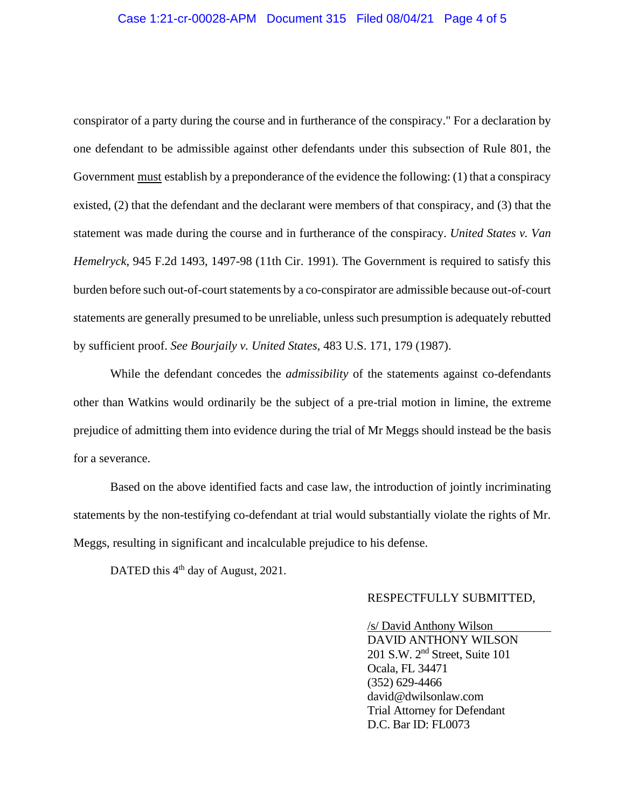### Case 1:21-cr-00028-APM Document 315 Filed 08/04/21 Page 4 of 5

conspirator of a party during the course and in furtherance of the conspiracy." For a declaration by one defendant to be admissible against other defendants under this subsection of Rule 801, the Government must establish by a preponderance of the evidence the following: (1) that a conspiracy existed, (2) that the defendant and the declarant were members of that conspiracy, and (3) that the statement was made during the course and in furtherance of the conspiracy. *United States v. Van Hemelryck*, 945 F.2d 1493, 1497-98 (11th Cir. 1991). The Government is required to satisfy this burden before such out-of-court statements by a co-conspirator are admissible because out-of-court statements are generally presumed to be unreliable, unless such presumption is adequately rebutted by sufficient proof. *See Bourjaily v. United States*, 483 U.S. 171, 179 (1987).

While the defendant concedes the *admissibility* of the statements against co-defendants other than Watkins would ordinarily be the subject of a pre-trial motion in limine, the extreme prejudice of admitting them into evidence during the trial of Mr Meggs should instead be the basis for a severance.

Based on the above identified facts and case law, the introduction of jointly incriminating statements by the non-testifying co-defendant at trial would substantially violate the rights of Mr. Meggs, resulting in significant and incalculable prejudice to his defense.

DATED this 4<sup>th</sup> day of August, 2021.

#### RESPECTFULLY SUBMITTED,

 /s/ David Anthony Wilson DAVID ANTHONY WILSON 201 S.W. 2nd Street, Suite 101 Ocala, FL 34471 (352) 629-4466 david@dwilsonlaw.com Trial Attorney for Defendant D.C. Bar ID: FL0073